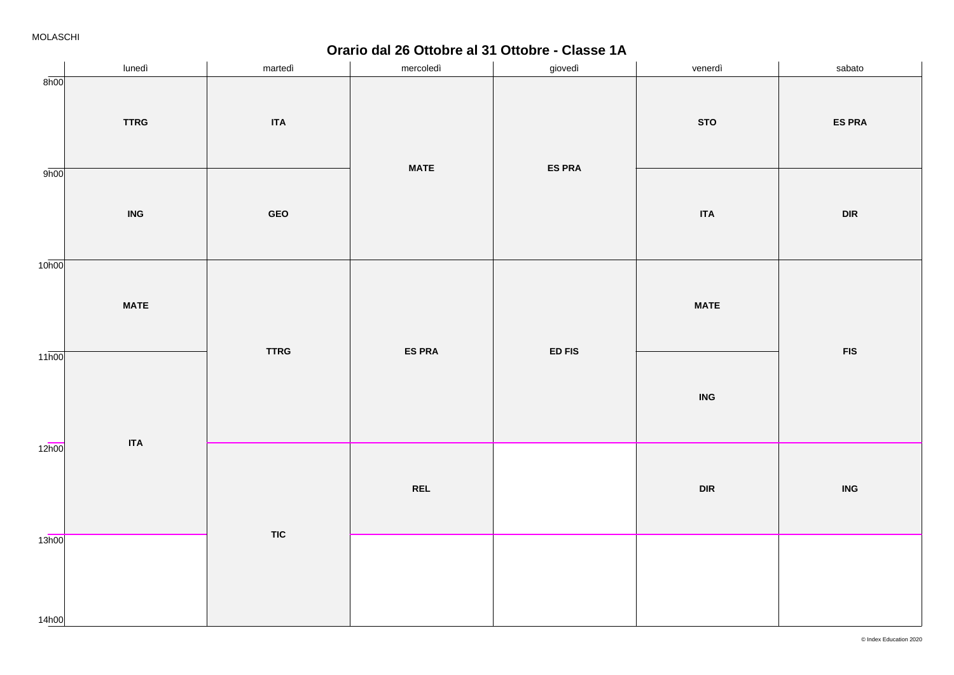**Orario dal 26 Ottobre al 31 Ottobre - Classe 1A**

|                    | lunedì      | martedì           | mercoledì     | giovedì       | venerdì     | sabato                      |
|--------------------|-------------|-------------------|---------------|---------------|-------------|-----------------------------|
| 8h00               | <b>TTRG</b> | <b>ITA</b><br>GEO | <b>MATE</b>   | <b>ES PRA</b> | <b>STO</b>  | <b>ES PRA</b>               |
| 9h00               | <b>ING</b>  |                   |               |               | <b>ITA</b>  | $\ensuremath{\mathsf{DIR}}$ |
| 10 <sub>h00</sub>  | <b>MATE</b> | <b>TTRG</b>       | <b>ES PRA</b> | ED FIS        | <b>MATE</b> | ${\sf FIS}$                 |
| $11\overline{h00}$ |             |                   |               |               | <b>ING</b>  |                             |
| 12h00              | <b>ITA</b>  | <b>TIC</b>        | <b>REL</b>    |               | DIR         | $\overline{\mathsf{ING}}$   |
| 13h00<br>14h00     |             |                   |               |               |             |                             |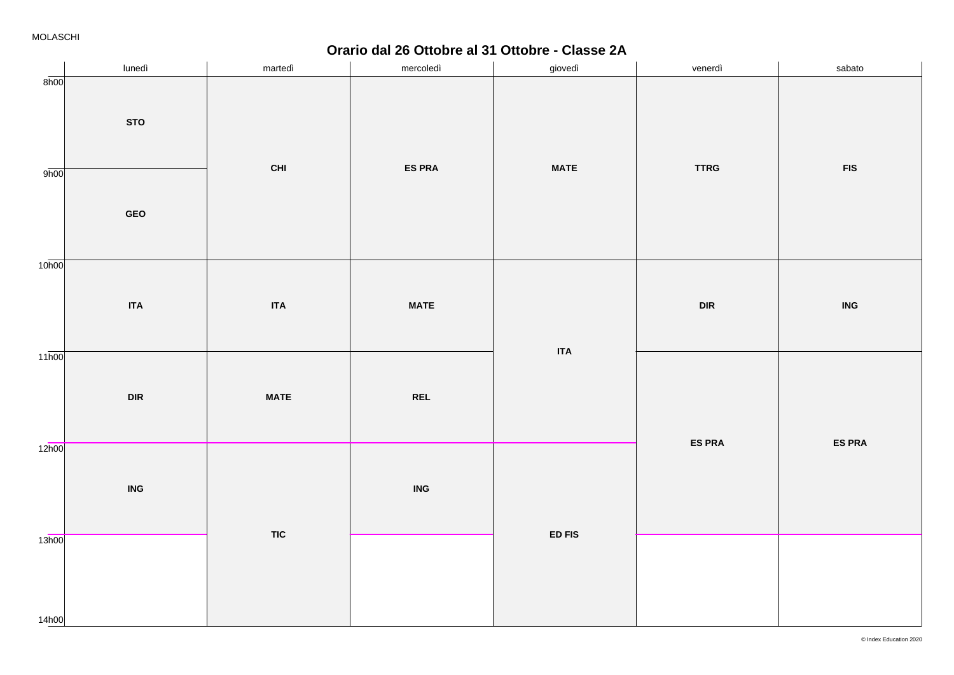**Orario dal 26 Ottobre al 31 Ottobre - Classe 2A**

|                    | lunedì                      | martedì     | mercoledì     | giovedì                     | venerdì                     | sabato                             |
|--------------------|-----------------------------|-------------|---------------|-----------------------------|-----------------------------|------------------------------------|
| 8h00               | <b>STO</b>                  | <b>CHI</b>  | <b>ES PRA</b> | <b>MATE</b>                 | <b>TTRG</b>                 | ${\sf FIS}$                        |
| 9h00               | GEO                         |             |               |                             |                             |                                    |
| 10 <sub>h00</sub>  | $\sf ITA$                   | <b>ITA</b>  | <b>MATE</b>   |                             | $\ensuremath{\mathsf{DIR}}$ | $\ensuremath{\mathsf{ING}}\xspace$ |
| $11\overline{h00}$ | $\ensuremath{\mathsf{DIR}}$ | <b>MATE</b> | <b>REL</b>    | <b>ITA</b>                  |                             |                                    |
| 12h00              | <b>ING</b>                  |             | <b>ING</b>    |                             | <b>ES PRA</b>               | <b>ES PRA</b>                      |
| 13h00<br>14h00     |                             | <b>TIC</b>  |               | $\mathsf{ED}\,\mathsf{FIS}$ |                             |                                    |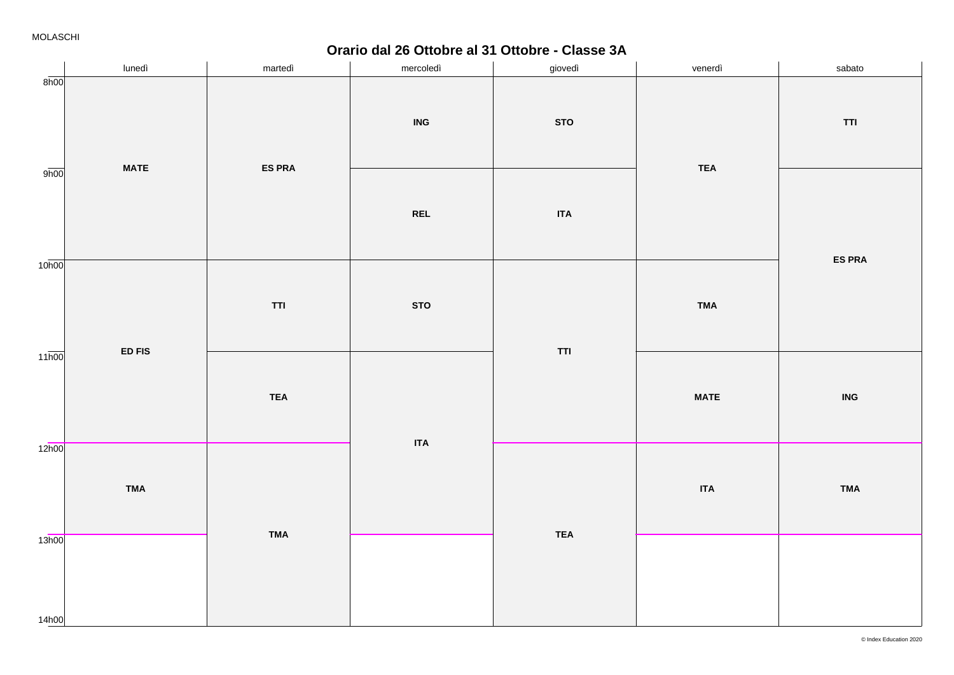**Orario dal 26 Ottobre al 31 Ottobre - Classe 3A**

|                    | lunedì      | martedì       | mercoledì  | giovedì    | venerdì     | sabato                                                                  |
|--------------------|-------------|---------------|------------|------------|-------------|-------------------------------------------------------------------------|
| 8h00               | <b>MATE</b> | <b>ES PRA</b> | ING        | <b>STO</b> | <b>TEA</b>  | $\ensuremath{\mathsf{T}}\ensuremath{\mathsf{T}}\ensuremath{\mathsf{T}}$ |
| 9h00               |             |               | <b>REL</b> | <b>ITA</b> |             | <b>ES PRA</b>                                                           |
| 10 <sub>h00</sub>  |             | <b>TTI</b>    | <b>STO</b> | TTI        | <b>TMA</b>  |                                                                         |
| $11\overline{h00}$ | ED FIS      | <b>TEA</b>    |            |            | <b>MATE</b> | $\ensuremath{\mathsf{ING}}\xspace$                                      |
| 12h00              | <b>TMA</b>  |               | $\sf ITA$  | <b>TEA</b> | <b>ITA</b>  | <b>TMA</b>                                                              |
| 13h00<br>14h00     |             | <b>TMA</b>    |            |            |             |                                                                         |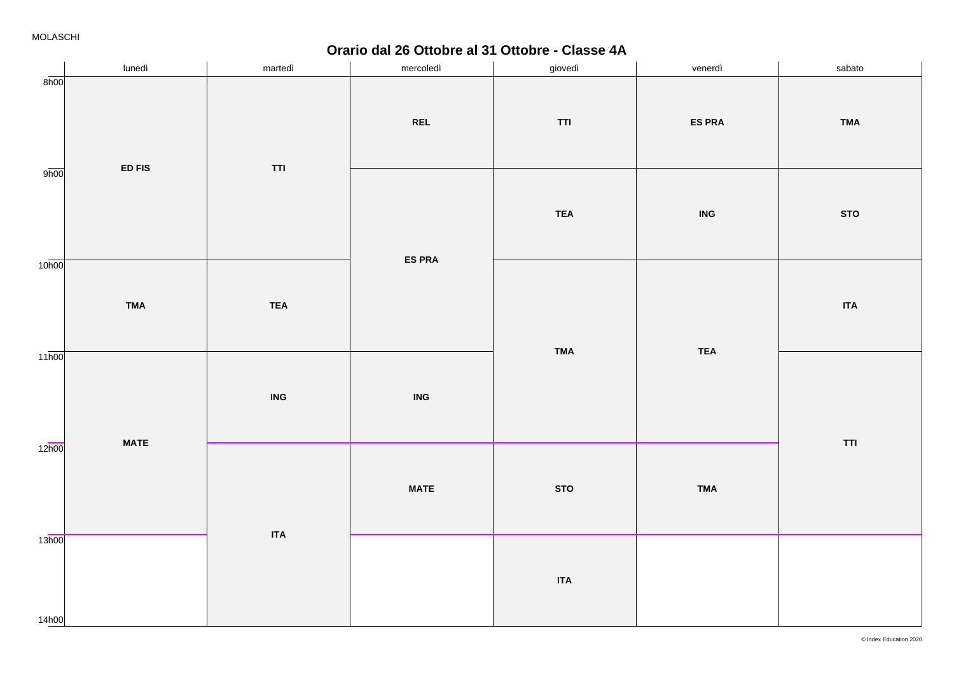**Orario dal 26 Ottobre al 31 Ottobre - Classe 4A**

|                   | lunedì      | martedì                                                                 | mercoledì     | giovedì    | venerdì                   | sabato     |
|-------------------|-------------|-------------------------------------------------------------------------|---------------|------------|---------------------------|------------|
| 8h00              | ED FIS      | $\ensuremath{\mathsf{T}}\ensuremath{\mathsf{T}}\ensuremath{\mathsf{T}}$ | <b>REL</b>    | <b>TTI</b> | <b>ES PRA</b>             | <b>TMA</b> |
| 9h00              |             |                                                                         | <b>ES PRA</b> | <b>TEA</b> | $\overline{\mathsf{ING}}$ | <b>STO</b> |
| 10 <sub>h00</sub> | <b>TMA</b>  | <b>TEA</b>                                                              |               | <b>TMA</b> | <b>TEA</b>                | $\sf ITA$  |
| 11h00             |             | $\ensuremath{\mathsf{ING}}\xspace$                                      | <b>ING</b>    |            |                           | TTI        |
| 12 <sub>h00</sub> | <b>MATE</b> |                                                                         | <b>MATE</b>   | <b>STO</b> | <b>TMA</b>                |            |
| 13h00<br>14h00    |             | <b>ITA</b>                                                              |               | <b>ITA</b> |                           |            |